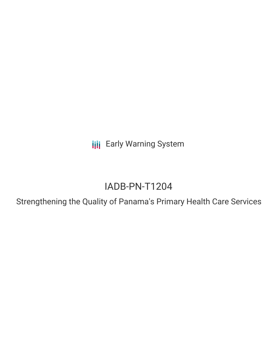**III** Early Warning System

# IADB-PN-T1204

Strengthening the Quality of Panama's Primary Health Care Services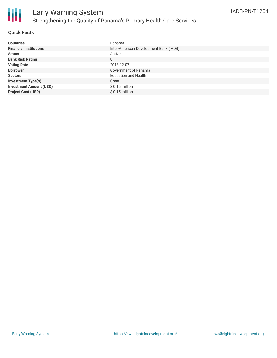

#### **Quick Facts**

| <b>Countries</b>               | Panama                                 |
|--------------------------------|----------------------------------------|
| <b>Financial Institutions</b>  | Inter-American Development Bank (IADB) |
| <b>Status</b>                  | Active                                 |
| <b>Bank Risk Rating</b>        | U                                      |
| <b>Voting Date</b>             | 2018-12-07                             |
| <b>Borrower</b>                | Government of Panama                   |
| <b>Sectors</b>                 | <b>Education and Health</b>            |
| <b>Investment Type(s)</b>      | Grant                                  |
| <b>Investment Amount (USD)</b> | $$0.15$ million                        |
| <b>Project Cost (USD)</b>      | $$0.15$ million                        |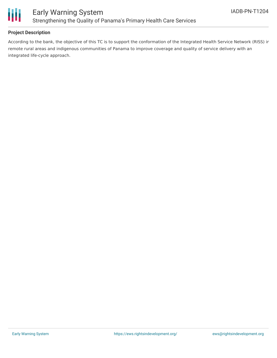

#### **Project Description**

According to the bank, the objective of this TC is to support the conformation of the Integrated Health Service Network (RISS) in remote rural areas and indigenous communities of Panama to improve coverage and quality of service delivery with an integrated life-cycle approach.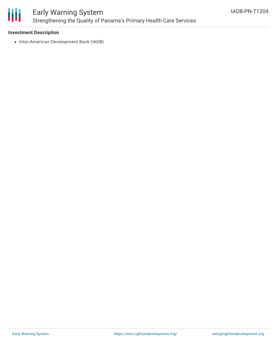

## Early Warning System Strengthening the Quality of Panama's Primary Health Care Services

#### **Investment Description**

• Inter-American Development Bank (IADB)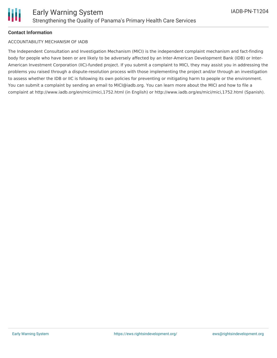#### **Contact Information**

#### ACCOUNTABILITY MECHANISM OF IADB

The Independent Consultation and Investigation Mechanism (MICI) is the independent complaint mechanism and fact-finding body for people who have been or are likely to be adversely affected by an Inter-American Development Bank (IDB) or Inter-American Investment Corporation (IIC)-funded project. If you submit a complaint to MICI, they may assist you in addressing the problems you raised through a dispute-resolution process with those implementing the project and/or through an investigation to assess whether the IDB or IIC is following its own policies for preventing or mitigating harm to people or the environment. You can submit a complaint by sending an email to MICI@iadb.org. You can learn more about the MICI and how to file a complaint at http://www.iadb.org/en/mici/mici,1752.html (in English) or http://www.iadb.org/es/mici/mici,1752.html (Spanish).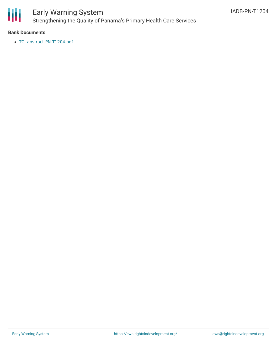

### Early Warning System Strengthening the Quality of Panama's Primary Health Care Services

#### **Bank Documents**

TC- [abstract-PN-T1204.pdf](https://www.iadb.org/Document.cfm?id=EZSHARE-902438499-3)